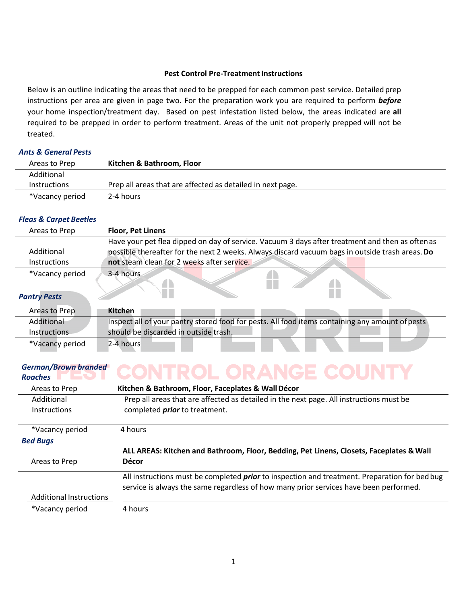### **Pest Control Pre-Treatment Instructions**

Below is an outline indicating the areas that need to be prepped for each common pest service. Detailed prep instructions per area are given in page two. For the preparation work you are required to perform *before*  your home inspection/treatment day. Based on pest infestation listed below, the areas indicated are **all**  required to be prepped in order to perform treatment. Areas of the unit not properly prepped will not be treated.

# *Ants & General Pests*

| Areas to Prep       | Kitchen & Bathroom, Floor                                  |
|---------------------|------------------------------------------------------------|
| Additional          |                                                            |
| <i>Instructions</i> | Prep all areas that are affected as detailed in next page. |
| *Vacancy period     | 2-4 hours                                                  |

#### *Fleas & Carpet Beetles*

| Areas to Prep       | <b>Floor, Pet Linens</b>                                                                                                                                                                           |
|---------------------|----------------------------------------------------------------------------------------------------------------------------------------------------------------------------------------------------|
| Additional          | Have your pet flea dipped on day of service. Vacuum 3 days after treatment and then as often as<br>possible thereafter for the next 2 weeks. Always discard vacuum bags in outside trash areas. Do |
| <b>Instructions</b> | not steam clean for 2 weeks after service.                                                                                                                                                         |
| *Vacancy period     | 3-4 hours                                                                                                                                                                                          |
| Dantry Docts        |                                                                                                                                                                                                    |

# *Pantry Pests*

| Areas to Prep       | <b>Kitchen</b>                                                                                  |
|---------------------|-------------------------------------------------------------------------------------------------|
| Additional          | Inspect all of your pantry stored food for pests. All food items containing any amount of pests |
| <b>Instructions</b> | should be discarded in outside trash.                                                           |
| *Vacancy period     | 2-4 hours                                                                                       |

# *German/Brown branded*

#### **INTROL ORANGE COUNT** Y *Roaches*

| Areas to Prep                  | Kitchen & Bathroom, Floor, Faceplates & Wall Décor                                                                                                                                            |
|--------------------------------|-----------------------------------------------------------------------------------------------------------------------------------------------------------------------------------------------|
| Additional<br>Instructions     | Prep all areas that are affected as detailed in the next page. All instructions must be<br>completed <i>prior</i> to treatment.                                                               |
| *Vacancy period                | 4 hours                                                                                                                                                                                       |
| <b>Bed Bugs</b>                |                                                                                                                                                                                               |
|                                | ALL AREAS: Kitchen and Bathroom, Floor, Bedding, Pet Linens, Closets, Faceplates & Wall                                                                                                       |
| Areas to Prep                  | Décor                                                                                                                                                                                         |
|                                | All instructions must be completed <i>prior</i> to inspection and treatment. Preparation for bed bug<br>service is always the same regardless of how many prior services have been performed. |
| <b>Additional Instructions</b> |                                                                                                                                                                                               |
| *Vacancy period                | 4 hours                                                                                                                                                                                       |